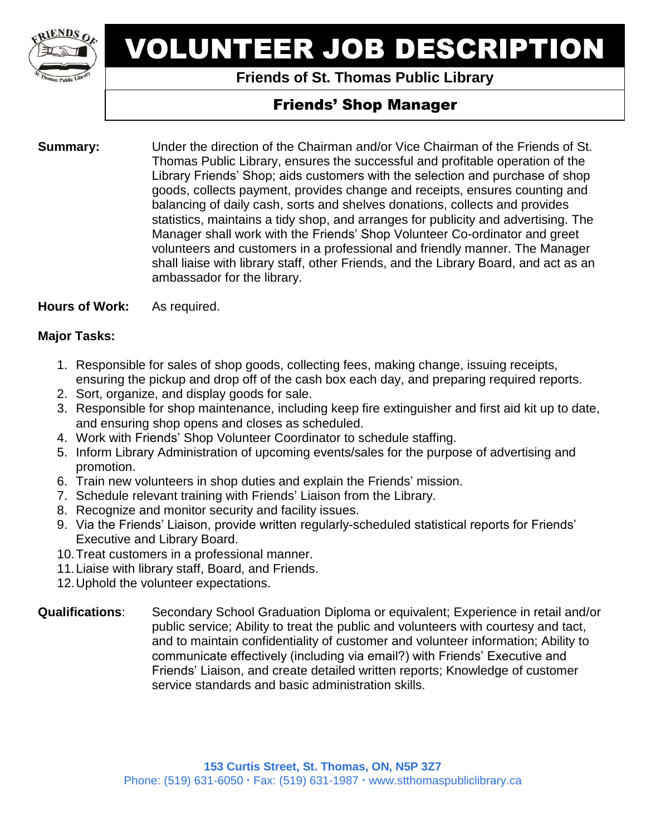

# VOLUNTEER JOB DESCRIPTION

## **Friends of St. Thomas Public Library**

# Friends' Shop Manager

**Summary:** Under the direction of the Chairman and/or Vice Chairman of the Friends of St. Thomas Public Library, ensures the successful and profitable operation of the Library Friends' Shop; aids customers with the selection and purchase of shop goods, collects payment, provides change and receipts, ensures counting and balancing of daily cash, sorts and shelves donations, collects and provides statistics, maintains a tidy shop, and arranges for publicity and advertising. The Manager shall work with the Friends' Shop Volunteer Co-ordinator and greet volunteers and customers in a professional and friendly manner. The Manager shall liaise with library staff, other Friends, and the Library Board, and act as an ambassador for the library.

**Hours of Work:** As required.

### **Major Tasks:**

- 1. Responsible for sales of shop goods, collecting fees, making change, issuing receipts, ensuring the pickup and drop off of the cash box each day, and preparing required reports.
- 2. Sort, organize, and display goods for sale.
- 3. Responsible for shop maintenance, including keep fire extinguisher and first aid kit up to date, and ensuring shop opens and closes as scheduled.
- 4. Work with Friends' Shop Volunteer Coordinator to schedule staffing.
- 5. Inform Library Administration of upcoming events/sales for the purpose of advertising and promotion.
- 6. Train new volunteers in shop duties and explain the Friends' mission.
- 7. Schedule relevant training with Friends' Liaison from the Library.
- 8. Recognize and monitor security and facility issues.
- 9. Via the Friends' Liaison, provide written regularly-scheduled statistical reports for Friends' Executive and Library Board.
- 10.Treat customers in a professional manner.
- 11.Liaise with library staff, Board, and Friends.
- 12.Uphold the volunteer expectations.

#### **Qualifications**: Secondary School Graduation Diploma or equivalent; Experience in retail and/or public service; Ability to treat the public and volunteers with courtesy and tact, and to maintain confidentiality of customer and volunteer information; Ability to communicate effectively (including via email?) with Friends' Executive and Friends' Liaison, and create detailed written reports; Knowledge of customer service standards and basic administration skills.